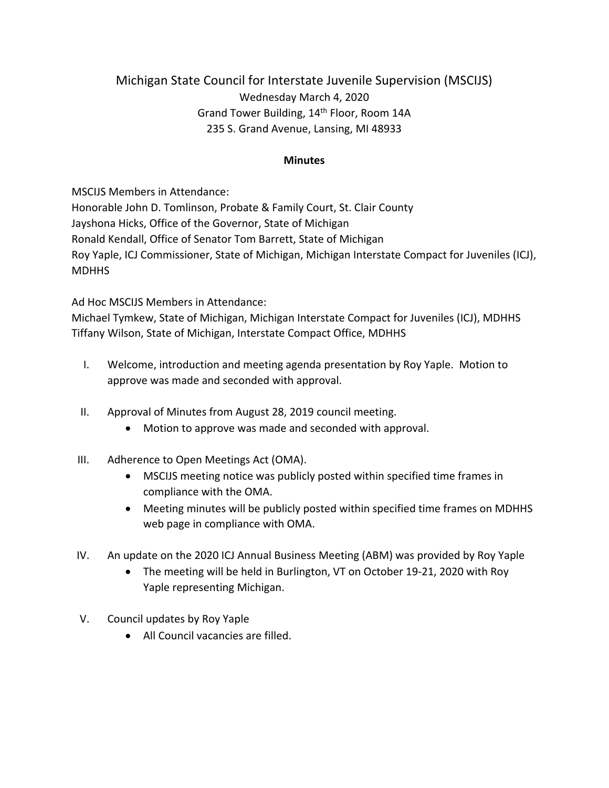## Michigan State Council for Interstate Juvenile Supervision (MSCIJS) Wednesday March 4, 2020 Grand Tower Building, 14th Floor, Room 14A 235 S. Grand Avenue, Lansing, MI 48933

## **Minutes**

MSCIJS Members in Attendance:

Honorable John D. Tomlinson, Probate & Family Court, St. Clair County Jayshona Hicks, Office of the Governor, State of Michigan Ronald Kendall, Office of Senator Tom Barrett, State of Michigan Roy Yaple, ICJ Commissioner, State of Michigan, Michigan Interstate Compact for Juveniles (ICJ), **MDHHS** 

## Ad Hoc MSCIJS Members in Attendance:

Michael Tymkew, State of Michigan, Michigan Interstate Compact for Juveniles (ICJ), MDHHS Tiffany Wilson, State of Michigan, Interstate Compact Office, MDHHS

- I. Welcome, introduction and meeting agenda presentation by Roy Yaple. Motion to approve was made and seconded with approval.
- II. Approval of Minutes from August 28, 2019 council meeting.
	- Motion to approve was made and seconded with approval.
- III. Adherence to Open Meetings Act (OMA).
	- MSCIJS meeting notice was publicly posted within specified time frames in compliance with the OMA.
	- Meeting minutes will be publicly posted within specified time frames on MDHHS web page in compliance with OMA.
- IV. An update on the 2020 ICJ Annual Business Meeting (ABM) was provided by Roy Yaple
	- The meeting will be held in Burlington, VT on October 19-21, 2020 with Roy Yaple representing Michigan.
- V. Council updates by Roy Yaple
	- All Council vacancies are filled.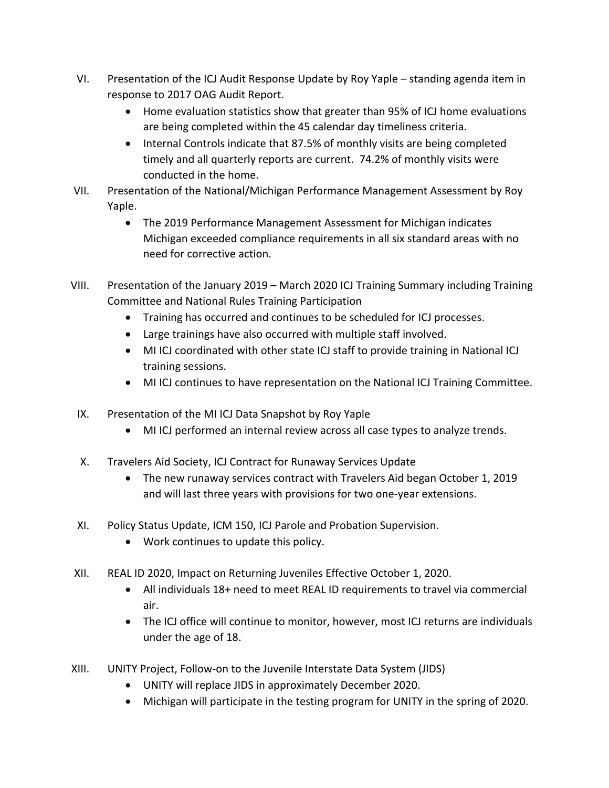- VI. Presentation of the ICJ Audit Response Update by Roy Yaple standing agenda item in response to 2017 OAG Audit Report.
	- Home evaluation statistics show that greater than 95% of ICJ home evaluations are being completed within the 45 calendar day timeliness criteria.
	- Internal Controls indicate that 87.5% of monthly visits are being completed timely and all quarterly reports are current. 74.2% of monthly visits were conducted in the home.
- VII. Presentation of the National/Michigan Performance Management Assessment by Roy Yaple.
	- The 2019 Performance Management Assessment for Michigan indicates Michigan exceeded compliance requirements in all six standard areas with no need for corrective action.
- VIII. Presentation of the January 2019 March 2020 ICJ Training Summary including Training Committee and National Rules Training Participation
	- Training has occurred and continues to be scheduled for ICJ processes.
	- Large trainings have also occurred with multiple staff involved.
	- MI ICJ coordinated with other state ICJ staff to provide training in National ICJ training sessions.
	- MI ICJ continues to have representation on the National ICJ Training Committee.
	- IX. Presentation of the MI ICJ Data Snapshot by Roy Yaple
		- MI ICJ performed an internal review across all case types to analyze trends.
	- X. Travelers Aid Society, ICJ Contract for Runaway Services Update
		- The new runaway services contract with Travelers Aid began October 1, 2019 and will last three years with provisions for two one-year extensions.
- XI. Policy Status Update, ICM 150, ICJ Parole and Probation Supervision.
	- Work continues to update this policy.
- XII. REAL ID 2020, Impact on Returning Juveniles Effective October 1, 2020.
	- All individuals 18+ need to meet REAL ID requirements to travel via commercial air.
	- The ICJ office will continue to monitor, however, most ICJ returns are individuals under the age of 18.
- XIII. UNITY Project, Follow-on to the Juvenile Interstate Data System (JIDS)
	- UNITY will replace JIDS in approximately December 2020.
	- Michigan will participate in the testing program for UNITY in the spring of 2020.